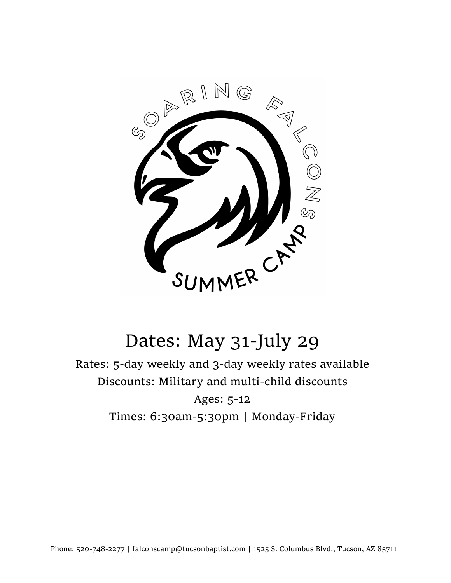

Rates: 5-day weekly and 3-day weekly rates available Discounts: Military and multi-child discounts Ages: 5-12 Times: 6:30am-5:30pm | Monday-Friday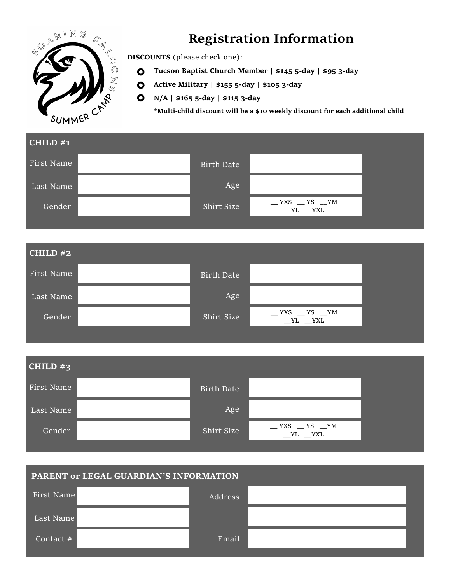

# **Registration Information**

**DISCOUNTS** (please check one):

- **Tucson Baptist Church Member | \$145 5-day | \$95 3-day**
- **Active Military | \$155 5-day | \$105 3-day**
- **N/A | \$165 5-day | \$115 3-day**

**\*Multi-child discount will be a \$10 weekly discount for each additional child**



| PARENT or LEGAL GUARDIAN'S INFORMATION |  |         |  |  |  |
|----------------------------------------|--|---------|--|--|--|
| First Name                             |  | Address |  |  |  |
| Last Name                              |  |         |  |  |  |
| Contact $#$                            |  | Email   |  |  |  |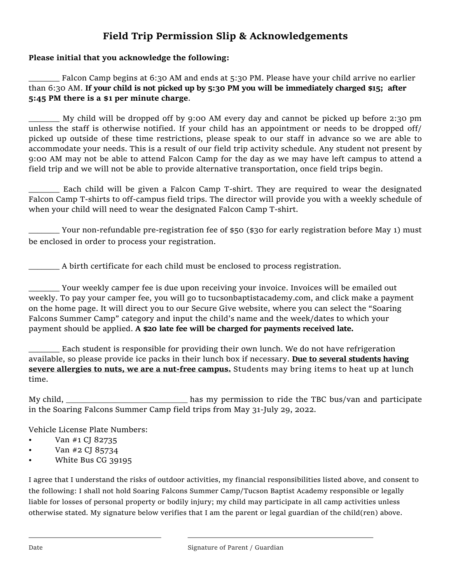## **Field Trip Permission Slip & Acknowledgements**

#### **Please initial that you acknowledge the following:**

Falcon Camp begins at 6:30 AM and ends at 5:30 PM. Please have your child arrive no earlier than 6:30 AM. **If your child is not picked up by 5:30 PM you will be immediately charged \$15; after 5:45 PM there is a \$1 per minute charge**.

My child will be dropped off by 9:00 AM every day and cannot be picked up before 2:30 pm unless the staff is otherwise notified. If your child has an appointment or needs to be dropped off/ picked up outside of these time restrictions, please speak to our staff in advance so we are able to accommodate your needs. This is a result of our field trip activity schedule. Any student not present by 9:00 AM may not be able to attend Falcon Camp for the day as we may have left campus to attend a field trip and we will not be able to provide alternative transportation, once field trips begin.

\_\_\_\_\_\_\_ Each child will be given a Falcon Camp T-shirt. They are required to wear the designated Falcon Camp T-shirts to off-campus field trips. The director will provide you with a weekly schedule of when your child will need to wear the designated Falcon Camp T-shirt.

\_\_\_\_\_\_\_ Your non-refundable pre-registration fee of \$50 (\$30 for early registration before May 1) must be enclosed in order to process your registration.

\_\_\_\_\_\_\_ A birth certificate for each child must be enclosed to process registration.

\_\_\_\_\_\_\_ Your weekly camper fee is due upon receiving your invoice. Invoices will be emailed out weekly. To pay your camper fee, you will go to tucsonbaptistacademy.com, and click make a payment on the home page. It will direct you to our Secure Give website, where you can select the "Soaring Falcons Summer Camp" category and input the child's name and the week/dates to which your payment should be applied. **A \$20 late fee will be charged for payments received late.** 

Each student is responsible for providing their own lunch. We do not have refrigeration available, so please provide ice packs in their lunch box if necessary. **Due to several students having severe allergies to nuts, we are a nut-free campus.** Students may bring items to heat up at lunch time.

My child, <u>has my permission</u> to ride the TBC bus/van and participate in the Soaring Falcons Summer Camp field trips from May 31-July 29, 2022.

Vehicle License Plate Numbers:

- Van #1 CJ 82735
- Van #2 CJ 85734
- White Bus CG 39195

I agree that I understand the risks of outdoor activities, my financial responsibilities listed above, and consent to the following: I shall not hold Soaring Falcons Summer Camp/Tucson Baptist Academy responsible or legally liable for losses of personal property or bodily injury; my child may participate in all camp activities unless otherwise stated. My signature below verifies that I am the parent or legal guardian of the child(ren) above.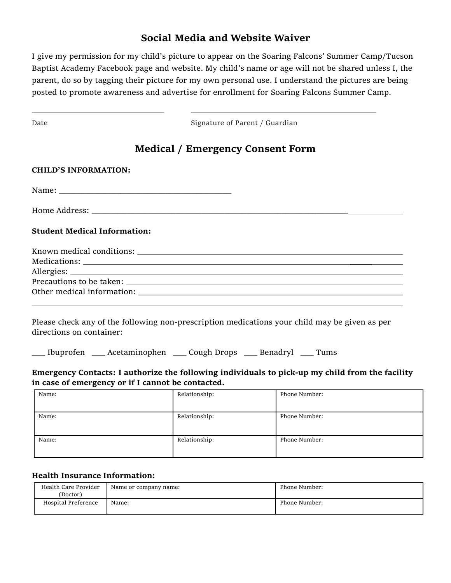## **Social Media and Website Waiver**

I give my permission for my child's picture to appear on the Soaring Falcons' Summer Camp/Tucson Baptist Academy Facebook page and website. My child's name or age will not be shared unless I, the parent, do so by tagging their picture for my own personal use. I understand the pictures are being posted to promote awareness and advertise for enrollment for Soaring Falcons Summer Camp.

| Date                                                                                                                                                 |  | Signature of Parent / Guardian                                   |                                                                                               |  |
|------------------------------------------------------------------------------------------------------------------------------------------------------|--|------------------------------------------------------------------|-----------------------------------------------------------------------------------------------|--|
|                                                                                                                                                      |  | <b>Medical / Emergency Consent Form</b>                          |                                                                                               |  |
| <b>CHILD'S INFORMATION:</b>                                                                                                                          |  |                                                                  |                                                                                               |  |
|                                                                                                                                                      |  |                                                                  |                                                                                               |  |
|                                                                                                                                                      |  |                                                                  |                                                                                               |  |
| <b>Student Medical Information:</b>                                                                                                                  |  |                                                                  |                                                                                               |  |
|                                                                                                                                                      |  |                                                                  |                                                                                               |  |
|                                                                                                                                                      |  |                                                                  |                                                                                               |  |
| directions on container:                                                                                                                             |  |                                                                  | Please check any of the following non-prescription medications your child may be given as per |  |
|                                                                                                                                                      |  | __ Ibuprofen __ Acetaminophen __ Cough Drops __ Benadryl __ Tums |                                                                                               |  |
| Emergency Contacts: I authorize the following individuals to pick-up my child from the facility<br>in case of emergency or if I cannot be contacted. |  |                                                                  |                                                                                               |  |
| Name:                                                                                                                                                |  | Relationship:                                                    | Phone Number:                                                                                 |  |
| Name:                                                                                                                                                |  | Relationship:                                                    | Phone Number:                                                                                 |  |
| Name:                                                                                                                                                |  | Relationship:                                                    | Phone Number:                                                                                 |  |
|                                                                                                                                                      |  |                                                                  |                                                                                               |  |

### **Health Insurance Information:**

| Health Care Provider<br>(Doctor) | Name or company name: | Phone Number: |
|----------------------------------|-----------------------|---------------|
| Hospital Preference              | Name:                 | Phone Number: |